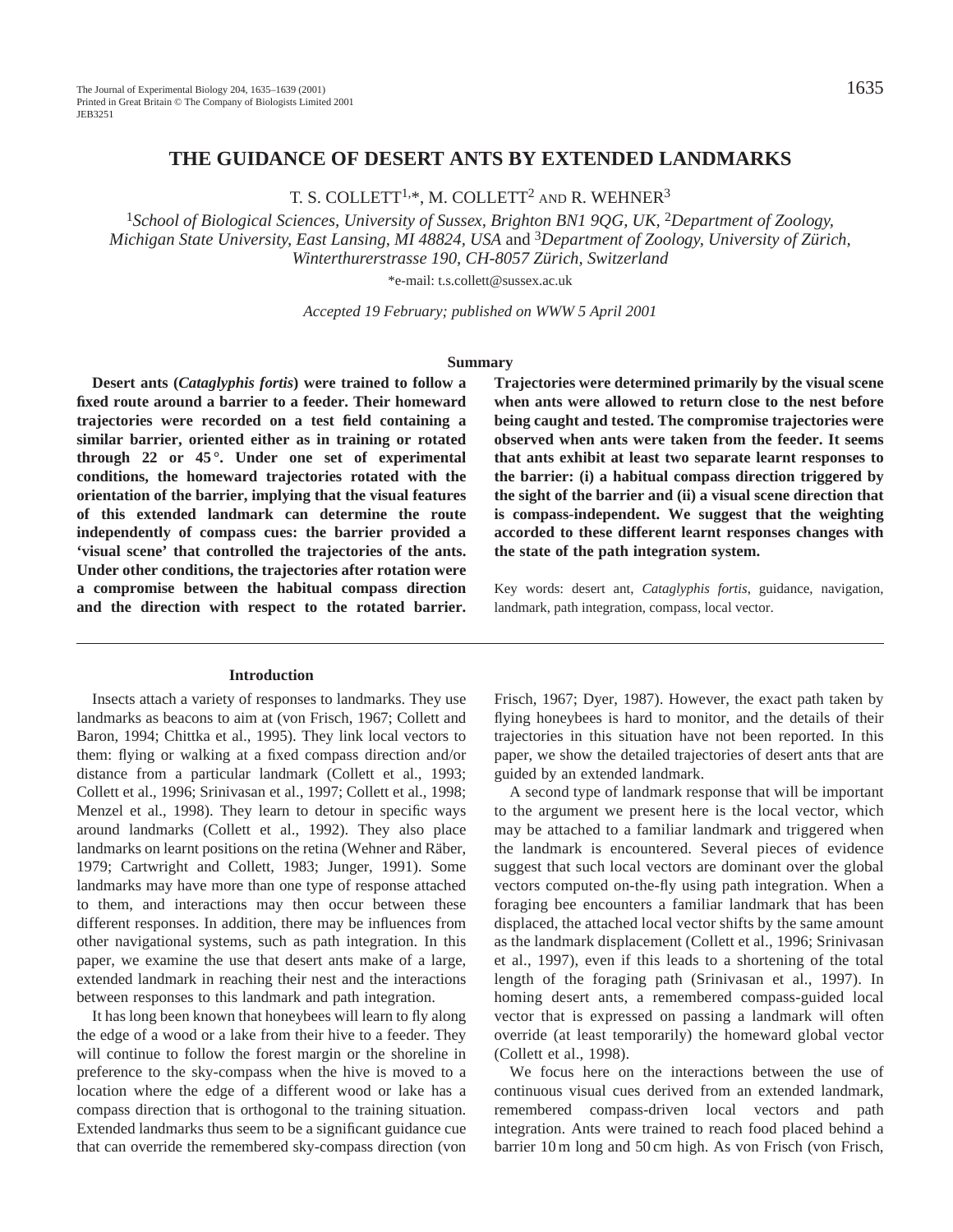## **THE GUIDANCE OF DESERT ANTS BY EXTENDED LANDMARKS**

T. S. COLLETT<sup>1,\*</sup>, M. COLLETT<sup>2</sup> AND R. WEHNER<sup>3</sup>

<sup>1</sup>School of Biological Sciences, University of Sussex, Brighton BN1 90G, UK, <sup>2</sup>Department of Zoology, *Michigan State University, East Lansing, MI 48824, USA* and 3*Department of Zoology, University of Zürich, Winterthurerstrasse 190, CH-8057 Zürich, Switzerland*

\*e-mail: t.s.collett@sussex.ac.uk

*Accepted 19 February; published on WWW 5 April 2001*

#### **Summary**

**Desert ants (***Cataglyphis fortis***) were trained to follow a fixed route around a barrier to a feeder. Their homeward trajectories were recorded on a test field containing a similar barrier, oriented either as in training or rotated through 22 or 45 °. Under one set of experimental conditions, the homeward trajectories rotated with the orientation of the barrier, implying that the visual features of this extended landmark can determine the route independently of compass cues: the barrier provided a 'visual scene' that controlled the trajectories of the ants. Under other conditions, the trajectories after rotation were a compromise between the habitual compass direction and the direction with respect to the rotated barrier.**

### **Introduction**

Insects attach a variety of responses to landmarks. They use landmarks as beacons to aim at (von Frisch, 1967; Collett and Baron, 1994; Chittka et al., 1995). They link local vectors to them: flying or walking at a fixed compass direction and/or distance from a particular landmark (Collett et al., 1993; Collett et al., 1996; Srinivasan et al., 1997; Collett et al., 1998; Menzel et al., 1998). They learn to detour in specific ways around landmarks (Collett et al., 1992). They also place landmarks on learnt positions on the retina (Wehner and Räber, 1979; Cartwright and Collett, 1983; Junger, 1991). Some landmarks may have more than one type of response attached to them, and interactions may then occur between these different responses. In addition, there may be influences from other navigational systems, such as path integration. In this paper, we examine the use that desert ants make of a large, extended landmark in reaching their nest and the interactions between responses to this landmark and path integration.

It has long been known that honeybees will learn to fly along the edge of a wood or a lake from their hive to a feeder. They will continue to follow the forest margin or the shoreline in preference to the sky-compass when the hive is moved to a location where the edge of a different wood or lake has a compass direction that is orthogonal to the training situation. Extended landmarks thus seem to be a significant guidance cue that can override the remembered sky-compass direction (von **Trajectories were determined primarily by the visual scene when ants were allowed to return close to the nest before being caught and tested. The compromise trajectories were observed when ants were taken from the feeder. It seems that ants exhibit at least two separate learnt responses to the barrier: (i) a habitual compass direction triggered by the sight of the barrier and (ii) a visual scene direction that is compass-independent. We suggest that the weighting accorded to these different learnt responses changes with the state of the path integration system.** 

Key words: desert ant, *Cataglyphis fortis*, guidance, navigation, landmark, path integration, compass, local vector.

Frisch, 1967; Dyer, 1987). However, the exact path taken by flying honeybees is hard to monitor, and the details of their trajectories in this situation have not been reported. In this paper, we show the detailed trajectories of desert ants that are guided by an extended landmark.

A second type of landmark response that will be important to the argument we present here is the local vector, which may be attached to a familiar landmark and triggered when the landmark is encountered. Several pieces of evidence suggest that such local vectors are dominant over the global vectors computed on-the-fly using path integration. When a foraging bee encounters a familiar landmark that has been displaced, the attached local vector shifts by the same amount as the landmark displacement (Collett et al., 1996; Srinivasan et al., 1997), even if this leads to a shortening of the total length of the foraging path (Srinivasan et al., 1997). In homing desert ants, a remembered compass-guided local vector that is expressed on passing a landmark will often override (at least temporarily) the homeward global vector (Collett et al., 1998).

We focus here on the interactions between the use of continuous visual cues derived from an extended landmark, remembered compass-driven local vectors and path integration. Ants were trained to reach food placed behind a barrier 10 m long and 50 cm high. As von Frisch (von Frisch,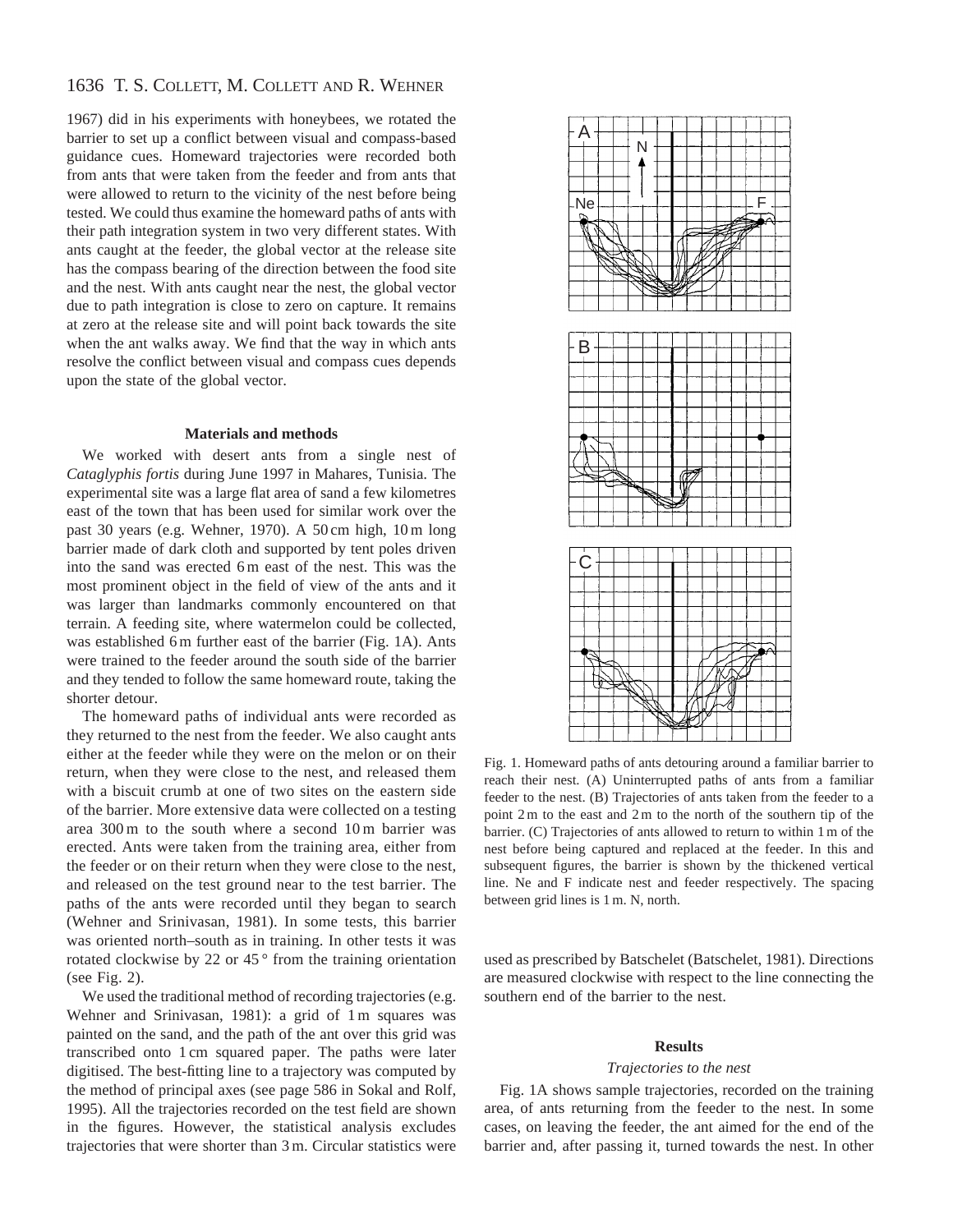# 1636 T. S. COLLETT, M. COLLETT AND R. WEHNER

1967) did in his experiments with honeybees, we rotated the barrier to set up a conflict between visual and compass-based guidance cues. Homeward trajectories were recorded both from ants that were taken from the feeder and from ants that were allowed to return to the vicinity of the nest before being tested. We could thus examine the homeward paths of ants with their path integration system in two very different states. With ants caught at the feeder, the global vector at the release site has the compass bearing of the direction between the food site and the nest. With ants caught near the nest, the global vector due to path integration is close to zero on capture. It remains at zero at the release site and will point back towards the site when the ant walks away. We find that the way in which ants resolve the conflict between visual and compass cues depends upon the state of the global vector.

### **Materials and methods**

We worked with desert ants from a single nest of *Cataglyphis fortis* during June 1997 in Mahares, Tunisia. The experimental site was a large flat area of sand a few kilometres east of the town that has been used for similar work over the past 30 years (e.g. Wehner, 1970). A 50 cm high, 10 m long barrier made of dark cloth and supported by tent poles driven into the sand was erected 6 m east of the nest. This was the most prominent object in the field of view of the ants and it was larger than landmarks commonly encountered on that terrain. A feeding site, where watermelon could be collected, was established 6 m further east of the barrier (Fig. 1A). Ants were trained to the feeder around the south side of the barrier and they tended to follow the same homeward route, taking the shorter detour.

The homeward paths of individual ants were recorded as they returned to the nest from the feeder. We also caught ants either at the feeder while they were on the melon or on their return, when they were close to the nest, and released them with a biscuit crumb at one of two sites on the eastern side of the barrier. More extensive data were collected on a testing area 300 m to the south where a second 10 m barrier was erected. Ants were taken from the training area, either from the feeder or on their return when they were close to the nest, and released on the test ground near to the test barrier. The paths of the ants were recorded until they began to search (Wehner and Srinivasan, 1981). In some tests, this barrier was oriented north–south as in training. In other tests it was rotated clockwise by 22 or  $45^{\circ}$  from the training orientation (see Fig. 2).

We used the traditional method of recording trajectories (e.g. Wehner and Srinivasan, 1981): a grid of 1 m squares was painted on the sand, and the path of the ant over this grid was transcribed onto 1 cm squared paper. The paths were later digitised. The best-fitting line to a trajectory was computed by the method of principal axes (see page 586 in Sokal and Rolf, 1995). All the trajectories recorded on the test field are shown in the figures. However, the statistical analysis excludes trajectories that were shorter than 3 m. Circular statistics were



Fig. 1. Homeward paths of ants detouring around a familiar barrier to reach their nest. (A) Uninterrupted paths of ants from a familiar feeder to the nest. (B) Trajectories of ants taken from the feeder to a point 2 m to the east and 2 m to the north of the southern tip of the barrier. (C) Trajectories of ants allowed to return to within 1 m of the nest before being captured and replaced at the feeder. In this and subsequent figures, the barrier is shown by the thickened vertical line. Ne and F indicate nest and feeder respectively. The spacing between grid lines is 1 m. N, north.

used as prescribed by Batschelet (Batschelet, 1981). Directions are measured clockwise with respect to the line connecting the southern end of the barrier to the nest.

#### **Results**

#### *Trajectories to the nest*

Fig. 1A shows sample trajectories, recorded on the training area, of ants returning from the feeder to the nest. In some cases, on leaving the feeder, the ant aimed for the end of the barrier and, after passing it, turned towards the nest. In other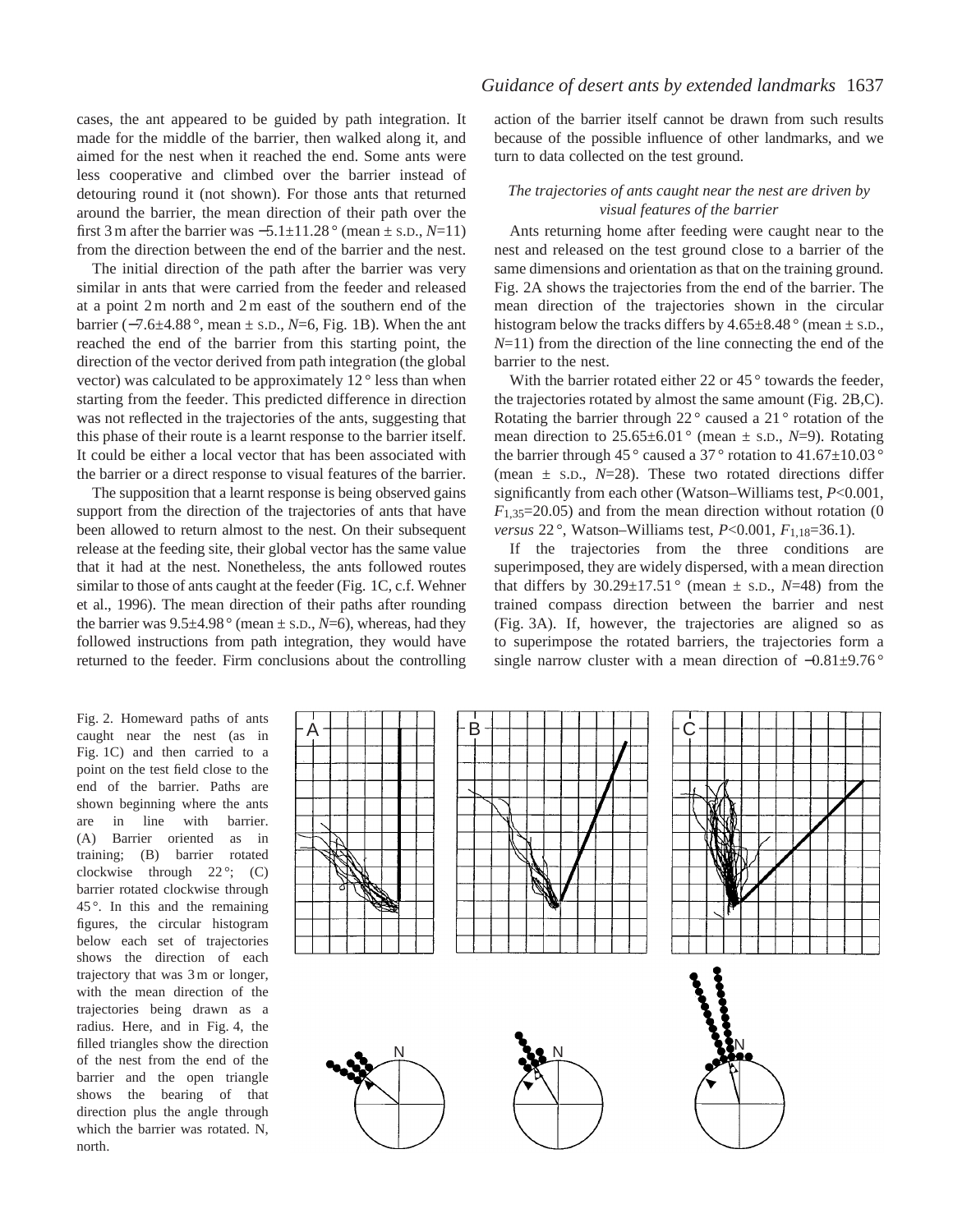cases, the ant appeared to be guided by path integration. It made for the middle of the barrier, then walked along it, and aimed for the nest when it reached the end. Some ants were less cooperative and climbed over the barrier instead of detouring round it (not shown). For those ants that returned around the barrier, the mean direction of their path over the first 3 m after the barrier was −5.1±11.28 ° (mean ± S.D., *N*=11) from the direction between the end of the barrier and the nest.

The initial direction of the path after the barrier was very similar in ants that were carried from the feeder and released at a point 2 m north and 2 m east of the southern end of the barrier (−7.6±4.88 °, mean ± S.D., *N*=6, Fig. 1B). When the ant reached the end of the barrier from this starting point, the direction of the vector derived from path integration (the global vector) was calculated to be approximately 12 ° less than when starting from the feeder. This predicted difference in direction was not reflected in the trajectories of the ants, suggesting that this phase of their route is a learnt response to the barrier itself. It could be either a local vector that has been associated with the barrier or a direct response to visual features of the barrier.

The supposition that a learnt response is being observed gains support from the direction of the trajectories of ants that have been allowed to return almost to the nest. On their subsequent release at the feeding site, their global vector has the same value that it had at the nest. Nonetheless, the ants followed routes similar to those of ants caught at the feeder (Fig. 1C, c.f. Wehner et al., 1996). The mean direction of their paths after rounding the barrier was  $9.5\pm4.98^{\circ}$  (mean  $\pm$  s.D., *N*=6), whereas, had they followed instructions from path integration, they would have returned to the feeder. Firm conclusions about the controlling

action of the barrier itself cannot be drawn from such results because of the possible influence of other landmarks, and we turn to data collected on the test ground.

## *The trajectories of ants caught near the nest are driven by visual features of the barrier*

Ants returning home after feeding were caught near to the nest and released on the test ground close to a barrier of the same dimensions and orientation as that on the training ground. Fig. 2A shows the trajectories from the end of the barrier. The mean direction of the trajectories shown in the circular histogram below the tracks differs by  $4.65\pm8.48$  ° (mean  $\pm$  s.D., *N*=11) from the direction of the line connecting the end of the barrier to the nest.

With the barrier rotated either 22 or  $45^{\circ}$  towards the feeder, the trajectories rotated by almost the same amount (Fig. 2B,C). Rotating the barrier through 22 ° caused a 21 ° rotation of the mean direction to  $25.65 \pm 6.01$  ° (mean  $\pm$  s.D., *N*=9). Rotating the barrier through 45 $^{\circ}$  caused a 37 $^{\circ}$  rotation to 41.67 $\pm$ 10.03 $^{\circ}$ (mean  $\pm$  s.D.,  $N=28$ ). These two rotated directions differ significantly from each other (Watson–Williams test, *P*<0.001,  $F_{1,35}=20.05$ ) and from the mean direction without rotation (0 *versus* 22 °, Watson–Williams test, *P*<0.001, *F*1,18=36.1).

If the trajectories from the three conditions are superimposed, they are widely dispersed, with a mean direction that differs by  $30.29 \pm 17.51$  ° (mean  $\pm$  s.p., N=48) from the trained compass direction between the barrier and nest (Fig. 3A). If, however, the trajectories are aligned so as to superimpose the rotated barriers, the trajectories form a single narrow cluster with a mean direction of  $-0.81\pm9.76$ °

Fig. 2. Homeward paths of ants caught near the nest (as in Fig. 1C) and then carried to a point on the test field close to the end of the barrier. Paths are shown beginning where the ants are in line with barrier. (A) Barrier oriented as in training; (B) barrier rotated clockwise through  $22^\circ$ ; (C) barrier rotated clockwise through 45 °. In this and the remaining figures, the circular histogram below each set of trajectories shows the direction of each trajectory that was 3 m or longer, with the mean direction of the trajectories being drawn as a radius. Here, and in Fig. 4, the filled triangles show the direction of the nest from the end of the barrier and the open triangle shows the bearing of that direction plus the angle through which the barrier was rotated. N, north.

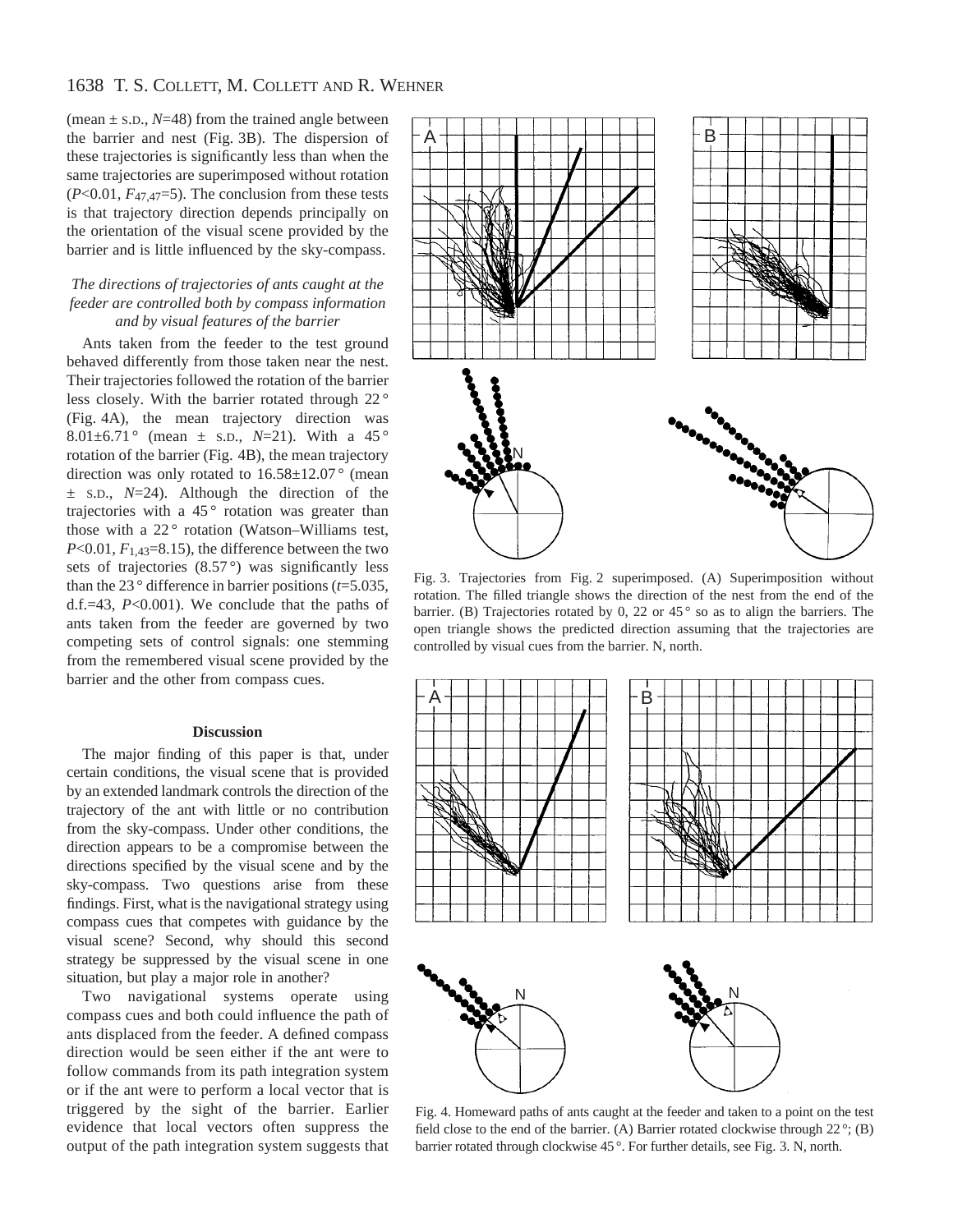# 1638 T. S. COLLETT, M. COLLETT AND R. WEHNER

(mean  $\pm$  s.D.,  $N=48$ ) from the trained angle between the barrier and nest (Fig. 3B). The dispersion of these trajectories is significantly less than when the same trajectories are superimposed without rotation  $(P<0.01, F<sub>47,47</sub>=5)$ . The conclusion from these tests is that trajectory direction depends principally on the orientation of the visual scene provided by the barrier and is little influenced by the sky-compass.

## *The directions of trajectories of ants caught at the feeder are controlled both by compass information and by visual features of the barrier*

Ants taken from the feeder to the test ground behaved differently from those taken near the nest. Their trajectories followed the rotation of the barrier less closely. With the barrier rotated through 22 ° (Fig. 4A), the mean trajectory direction was 8.01 $\pm$ 6.71° (mean  $\pm$  s.D., N=21). With a 45° rotation of the barrier (Fig. 4B), the mean trajectory direction was only rotated to  $16.58 \pm 12.07$  ° (mean ± S.D., *N*=24). Although the direction of the trajectories with a  $45^{\circ}$  rotation was greater than those with a  $22^\circ$  rotation (Watson–Williams test,  $P<0.01$ ,  $F<sub>1.43</sub>=8.15$ , the difference between the two sets of trajectories  $(8.57°)$  was significantly less than the 23 ° difference in barrier positions (*t*=5.035, d.f.=43, *P*<0.001). We conclude that the paths of ants taken from the feeder are governed by two competing sets of control signals: one stemming from the remembered visual scene provided by the barrier and the other from compass cues.

#### **Discussion**

The major finding of this paper is that, under certain conditions, the visual scene that is provided by an extended landmark controls the direction of the trajectory of the ant with little or no contribution from the sky-compass. Under other conditions, the direction appears to be a compromise between the directions specified by the visual scene and by the sky-compass. Two questions arise from these findings. First, what is the navigational strategy using compass cues that competes with guidance by the visual scene? Second, why should this second strategy be suppressed by the visual scene in one situation, but play a major role in another?

Two navigational systems operate using compass cues and both could influence the path of ants displaced from the feeder. A defined compass direction would be seen either if the ant were to follow commands from its path integration system or if the ant were to perform a local vector that is triggered by the sight of the barrier. Earlier evidence that local vectors often suppress the output of the path integration system suggests that



Fig. 3. Trajectories from Fig. 2 superimposed. (A) Superimposition without rotation. The filled triangle shows the direction of the nest from the end of the barrier. (B) Trajectories rotated by 0, 22 or 45 $\degree$  so as to align the barriers. The open triangle shows the predicted direction assuming that the trajectories are controlled by visual cues from the barrier. N, north.



Fig. 4. Homeward paths of ants caught at the feeder and taken to a point on the test field close to the end of the barrier. (A) Barrier rotated clockwise through  $22^{\circ}$ ; (B) barrier rotated through clockwise 45 °. For further details, see Fig. 3. N, north.